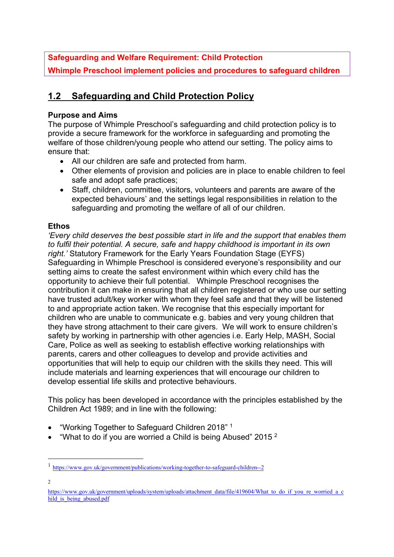## **Safeguarding and Welfare Requirement: Child Protection**

**Whimple Preschool implement policies and procedures to safeguard children**

# **1.2 Safeguarding and Child Protection Policy**

#### **Purpose and Aims**

The purpose of Whimple Preschool's safeguarding and child protection policy is to provide a secure framework for the workforce in safeguarding and promoting the welfare of those children/young people who attend our setting. The policy aims to ensure that:

- All our children are safe and protected from harm.
- Other elements of provision and policies are in place to enable children to feel safe and adopt safe practices;
- Staff, children, committee, visitors, volunteers and parents are aware of the expected behaviours' and the settings legal responsibilities in relation to the safeguarding and promoting the welfare of all of our children.

#### **Ethos**

*'Every child deserves the best possible start in life and the support that enables them to fulfil their potential. A secure, safe and happy childhood is important in its own right.'* Statutory Framework for the Early Years Foundation Stage (EYFS) Safeguarding in Whimple Preschool is considered everyone's responsibility and our setting aims to create the safest environment within which every child has the opportunity to achieve their full potential. Whimple Preschool recognises the contribution it can make in ensuring that all children registered or who use our setting have trusted adult/key worker with whom they feel safe and that they will be listened to and appropriate action taken. We recognise that this especially important for children who are unable to communicate e.g. babies and very young children that they have strong attachment to their care givers. We will work to ensure children's safety by working in partnership with other agencies i.e. Early Help, MASH, Social Care, Police as well as seeking to establish effective working relationships with parents, carers and other colleagues to develop and provide activities and opportunities that will help to equip our children with the skills they need. This will include materials and learning experiences that will encourage our children to develop essential life skills and protective behaviours.

This policy has been developed in accordance with the principles established by the Children Act 1989; and in line with the following:

- "Working Together to Safeguard Children 2018" 1
- "What to do if you are worried a Child is being Abused" 2015  $^2$

 $\overline{2}$ 

<sup>1</sup> https://www.gov.uk/government/publications/working-together-to-safeguard-children--2

https://www.gov.uk/government/uploads/system/uploads/attachment\_data/file/419604/What\_to\_do\_if\_you\_re\_worried\_a\_c hild is being abused.pdf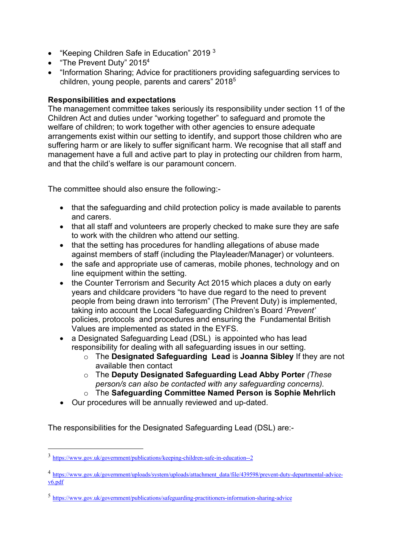- "Keeping Children Safe in Education" 2019 3
- "The Prevent Duty" 2015<sup>4</sup>
- "Information Sharing; Advice for practitioners providing safeguarding services to children, young people, parents and carers" 20185

#### **Responsibilities and expectations**

The management committee takes seriously its responsibility under section 11 of the Children Act and duties under "working together" to safeguard and promote the welfare of children; to work together with other agencies to ensure adequate arrangements exist within our setting to identify, and support those children who are suffering harm or are likely to suffer significant harm. We recognise that all staff and management have a full and active part to play in protecting our children from harm, and that the child's welfare is our paramount concern.

The committee should also ensure the following:-

- that the safeguarding and child protection policy is made available to parents and carers.
- that all staff and volunteers are properly checked to make sure they are safe to work with the children who attend our setting.
- that the setting has procedures for handling allegations of abuse made against members of staff (including the Playleader/Manager) or volunteers.
- the safe and appropriate use of cameras, mobile phones, technology and on line equipment within the setting.
- the Counter Terrorism and Security Act 2015 which places a duty on early years and childcare providers "to have due regard to the need to prevent people from being drawn into terrorism" (The Prevent Duty) is implemented, taking into account the Local Safeguarding Children's Board '*Prevent'*  policies, protocols and procedures and ensuring the Fundamental British Values are implemented as stated in the EYFS.
- a Designated Safeguarding Lead (DSL) is appointed who has lead responsibility for dealing with all safeguarding issues in our setting.
	- o The **Designated Safeguarding Lead** is **Joanna Sibley** If they are not available then contact
	- o The **Deputy Designated Safeguarding Lead Abby Porter** *(These person/s can also be contacted with any safeguarding concerns).*
	- o The **Safeguarding Committee Named Person is Sophie Mehrlich**
- Our procedures will be annually reviewed and up-dated.

The responsibilities for the Designated Safeguarding Lead (DSL) are:-

<sup>3</sup> https://www.gov.uk/government/publications/keeping-children-safe-in-education--2

<sup>4</sup> https://www.gov.uk/government/uploads/system/uploads/attachment\_data/file/439598/prevent-duty-departmental-advicev6.pdf

<sup>5</sup> https://www.gov.uk/government/publications/safeguarding-practitioners-information-sharing-advice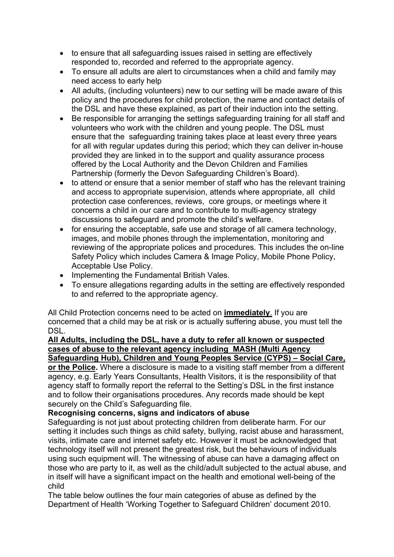- to ensure that all safeguarding issues raised in setting are effectively responded to, recorded and referred to the appropriate agency.
- To ensure all adults are alert to circumstances when a child and family may need access to early help
- All adults, (including volunteers) new to our setting will be made aware of this policy and the procedures for child protection, the name and contact details of the DSL and have these explained, as part of their induction into the setting.
- Be responsible for arranging the settings safeguarding training for all staff and volunteers who work with the children and young people. The DSL must ensure that the safeguarding training takes place at least every three years for all with regular updates during this period; which they can deliver in-house provided they are linked in to the support and quality assurance process offered by the Local Authority and the Devon Children and Families Partnership (formerly the Devon Safeguarding Children's Board).
- to attend or ensure that a senior member of staff who has the relevant training and access to appropriate supervision, attends where appropriate, all child protection case conferences, reviews, core groups, or meetings where it concerns a child in our care and to contribute to multi-agency strategy discussions to safeguard and promote the child's welfare.
- for ensuring the acceptable, safe use and storage of all camera technology, images, and mobile phones through the implementation, monitoring and reviewing of the appropriate polices and procedures. This includes the on-line Safety Policy which includes Camera & Image Policy, Mobile Phone Policy, Acceptable Use Policy.
- Implementing the Fundamental British Vales.
- To ensure allegations regarding adults in the setting are effectively responded to and referred to the appropriate agency.

All Child Protection concerns need to be acted on **immediately**. If you are concerned that a child may be at risk or is actually suffering abuse, you must tell the DSL.

#### **All Adults, including the DSL, have a duty to refer all known or suspected cases of abuse to the relevant agency including MASH (Multi Agency Safeguarding Hub), Children and Young Peoples Service (CYPS) – Social Care,**

**or the Police.** Where a disclosure is made to a visiting staff member from a different agency, e.g. Early Years Consultants, Health Visitors, it is the responsibility of that agency staff to formally report the referral to the Setting's DSL in the first instance and to follow their organisations procedures. Any records made should be kept securely on the Child's Safeguarding file.

### **Recognising concerns, signs and indicators of abuse**

Safeguarding is not just about protecting children from deliberate harm. For our setting it includes such things as child safety, bullying, racist abuse and harassment, visits, intimate care and internet safety etc. However it must be acknowledged that technology itself will not present the greatest risk, but the behaviours of individuals using such equipment will. The witnessing of abuse can have a damaging affect on those who are party to it, as well as the child/adult subjected to the actual abuse, and in itself will have a significant impact on the health and emotional well-being of the child

The table below outlines the four main categories of abuse as defined by the Department of Health 'Working Together to Safeguard Children' document 2010.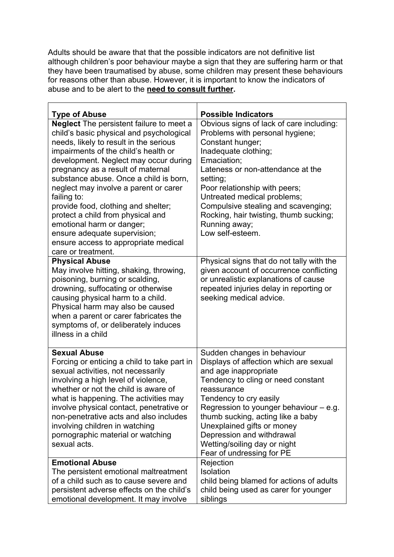Adults should be aware that that the possible indicators are not definitive list although children's poor behaviour maybe a sign that they are suffering harm or that they have been traumatised by abuse, some children may present these behaviours for reasons other than abuse. However, it is important to know the indicators of abuse and to be alert to the **need to consult further.**

| <b>Type of Abuse</b>                                                                                                                                                                                                                                                                                                                                                                                                                                                                                                                                                 | <b>Possible Indicators</b>                                                                                                                                                                                                                                                                                                                                                             |
|----------------------------------------------------------------------------------------------------------------------------------------------------------------------------------------------------------------------------------------------------------------------------------------------------------------------------------------------------------------------------------------------------------------------------------------------------------------------------------------------------------------------------------------------------------------------|----------------------------------------------------------------------------------------------------------------------------------------------------------------------------------------------------------------------------------------------------------------------------------------------------------------------------------------------------------------------------------------|
| <b>Neglect</b> The persistent failure to meet a<br>child's basic physical and psychological<br>needs, likely to result in the serious<br>impairments of the child's health or<br>development. Neglect may occur during<br>pregnancy as a result of maternal<br>substance abuse. Once a child is born,<br>neglect may involve a parent or carer<br>failing to:<br>provide food, clothing and shelter;<br>protect a child from physical and<br>emotional harm or danger;<br>ensure adequate supervision;<br>ensure access to appropriate medical<br>care or treatment. | Obvious signs of lack of care including:<br>Problems with personal hygiene;<br>Constant hunger;<br>Inadequate clothing;<br>Emaciation;<br>Lateness or non-attendance at the<br>setting;<br>Poor relationship with peers;<br>Untreated medical problems;<br>Compulsive stealing and scavenging;<br>Rocking, hair twisting, thumb sucking;<br>Running away;<br>Low self-esteem.          |
| <b>Physical Abuse</b><br>May involve hitting, shaking, throwing,<br>poisoning, burning or scalding,<br>drowning, suffocating or otherwise<br>causing physical harm to a child.<br>Physical harm may also be caused<br>when a parent or carer fabricates the<br>symptoms of, or deliberately induces<br>illness in a child                                                                                                                                                                                                                                            | Physical signs that do not tally with the<br>given account of occurrence conflicting<br>or unrealistic explanations of cause<br>repeated injuries delay in reporting or<br>seeking medical advice.                                                                                                                                                                                     |
| <b>Sexual Abuse</b><br>Forcing or enticing a child to take part in<br>sexual activities, not necessarily<br>involving a high level of violence,<br>whether or not the child is aware of<br>what is happening. The activities may<br>involve physical contact, penetrative or<br>non-penetrative acts and also includes<br>involving children in watching<br>pornographic material or watching<br>sexual acts.                                                                                                                                                        | Sudden changes in behaviour<br>Displays of affection which are sexual<br>and age inappropriate<br>Tendency to cling or need constant<br>reassurance<br>Tendency to cry easily<br>Regression to younger behaviour $-$ e.g.<br>thumb sucking, acting like a baby<br>Unexplained gifts or money<br>Depression and withdrawal<br>Wetting/soiling day or night<br>Fear of undressing for PE |
| <b>Emotional Abuse</b><br>The persistent emotional maltreatment<br>of a child such as to cause severe and<br>persistent adverse effects on the child's<br>emotional development. It may involve                                                                                                                                                                                                                                                                                                                                                                      | Rejection<br>Isolation<br>child being blamed for actions of adults<br>child being used as carer for younger<br>siblings                                                                                                                                                                                                                                                                |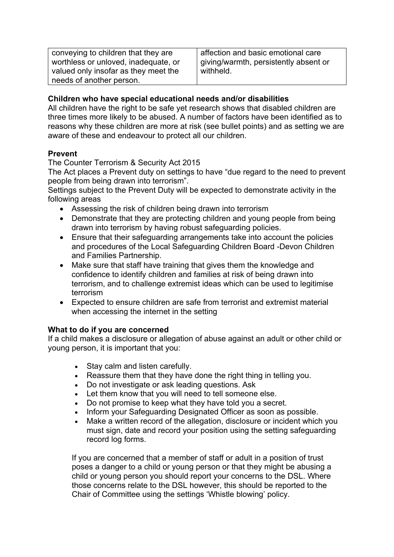| conveying to children that they are  |  |
|--------------------------------------|--|
| worthless or unloved, inadequate, or |  |
| valued only insofar as they meet the |  |
| needs of another person.             |  |

affection and basic emotional care giving/warmth, persistently absent or withheld.

#### **Children who have special educational needs and/or disabilities**

All children have the right to be safe yet research shows that disabled children are three times more likely to be abused. A number of factors have been identified as to reasons why these children are more at risk (see bullet points) and as setting we are aware of these and endeavour to protect all our children.

#### **Prevent**

The Counter Terrorism & Security Act 2015

The Act places a Prevent duty on settings to have "due regard to the need to prevent people from being drawn into terrorism".

Settings subject to the Prevent Duty will be expected to demonstrate activity in the following areas

- Assessing the risk of children being drawn into terrorism
- Demonstrate that they are protecting children and young people from being drawn into terrorism by having robust safeguarding policies.
- Ensure that their safeguarding arrangements take into account the policies and procedures of the Local Safeguarding Children Board -Devon Children and Families Partnership.
- Make sure that staff have training that gives them the knowledge and confidence to identify children and families at risk of being drawn into terrorism, and to challenge extremist ideas which can be used to legitimise terrorism
- Expected to ensure children are safe from terrorist and extremist material when accessing the internet in the setting

### **What to do if you are concerned**

If a child makes a disclosure or allegation of abuse against an adult or other child or young person, it is important that you:

- Stay calm and listen carefully.
- Reassure them that they have done the right thing in telling you.
- Do not investigate or ask leading questions. Ask
- Let them know that you will need to tell someone else.
- Do not promise to keep what they have told you a secret.
- Inform your Safeguarding Designated Officer as soon as possible.
- Make a written record of the allegation, disclosure or incident which you must sign, date and record your position using the setting safeguarding record log forms.

If you are concerned that a member of staff or adult in a position of trust poses a danger to a child or young person or that they might be abusing a child or young person you should report your concerns to the DSL. Where those concerns relate to the DSL however, this should be reported to the Chair of Committee using the settings 'Whistle blowing' policy.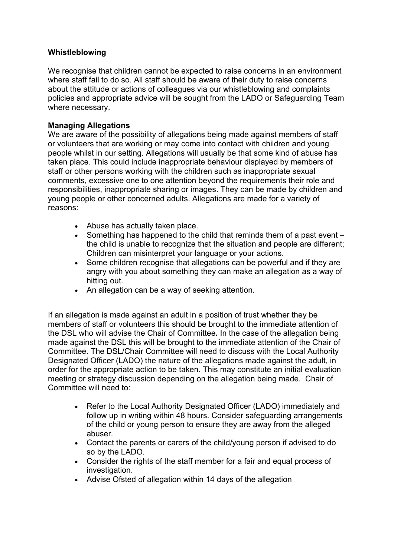#### **Whistleblowing**

We recognise that children cannot be expected to raise concerns in an environment where staff fail to do so. All staff should be aware of their duty to raise concerns about the attitude or actions of colleagues via our whistleblowing and complaints policies and appropriate advice will be sought from the LADO or Safeguarding Team where necessary.

#### **Managing Allegations**

We are aware of the possibility of allegations being made against members of staff or volunteers that are working or may come into contact with children and young people whilst in our setting. Allegations will usually be that some kind of abuse has taken place. This could include inappropriate behaviour displayed by members of staff or other persons working with the children such as inappropriate sexual comments, excessive one to one attention beyond the requirements their role and responsibilities, inappropriate sharing or images. They can be made by children and young people or other concerned adults. Allegations are made for a variety of reasons:

- Abuse has actually taken place.
- Something has happened to the child that reminds them of a past event the child is unable to recognize that the situation and people are different; Children can misinterpret your language or your actions.
- Some children recognise that allegations can be powerful and if they are angry with you about something they can make an allegation as a way of hitting out.
- An allegation can be a way of seeking attention.

If an allegation is made against an adult in a position of trust whether they be members of staff or volunteers this should be brought to the immediate attention of the DSL who will advise the Chair of Committee*.* In the case of the allegation being made against the DSL this will be brought to the immediate attention of the Chair of Committee. The DSL/Chair Committee will need to discuss with the Local Authority Designated Officer (LADO) the nature of the allegations made against the adult, in order for the appropriate action to be taken. This may constitute an initial evaluation meeting or strategy discussion depending on the allegation being made. Chair of Committee will need to:

- Refer to the Local Authority Designated Officer (LADO) immediately and follow up in writing within 48 hours. Consider safeguarding arrangements of the child or young person to ensure they are away from the alleged abuser.
- Contact the parents or carers of the child/young person if advised to do so by the LADO.
- Consider the rights of the staff member for a fair and equal process of investigation.
- Advise Ofsted of allegation within 14 days of the allegation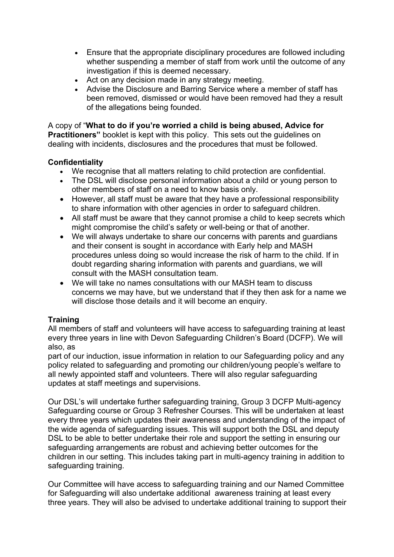- Ensure that the appropriate disciplinary procedures are followed including whether suspending a member of staff from work until the outcome of any investigation if this is deemed necessary.
- Act on any decision made in any strategy meeting.
- Advise the Disclosure and Barring Service where a member of staff has been removed, dismissed or would have been removed had they a result of the allegations being founded.

A copy of "**What to do if you're worried a child is being abused, Advice for Practitioners**" booklet is kept with this policy. This sets out the quidelines on dealing with incidents, disclosures and the procedures that must be followed.

#### **Confidentiality**

- We recognise that all matters relating to child protection are confidential.
- The DSL will disclose personal information about a child or young person to other members of staff on a need to know basis only.
- However, all staff must be aware that they have a professional responsibility to share information with other agencies in order to safeguard children.
- All staff must be aware that they cannot promise a child to keep secrets which might compromise the child's safety or well-being or that of another.
- We will always undertake to share our concerns with parents and guardians and their consent is sought in accordance with Early help and MASH procedures unless doing so would increase the risk of harm to the child. If in doubt regarding sharing information with parents and guardians, we will consult with the MASH consultation team.
- We will take no names consultations with our MASH team to discuss concerns we may have, but we understand that if they then ask for a name we will disclose those details and it will become an enquiry.

### **Training**

All members of staff and volunteers will have access to safeguarding training at least every three years in line with Devon Safeguarding Children's Board (DCFP). We will also, as

part of our induction, issue information in relation to our Safeguarding policy and any policy related to safeguarding and promoting our children/young people's welfare to all newly appointed staff and volunteers. There will also regular safeguarding updates at staff meetings and supervisions.

Our DSL's will undertake further safeguarding training, Group 3 DCFP Multi-agency Safeguarding course or Group 3 Refresher Courses. This will be undertaken at least every three years which updates their awareness and understanding of the impact of the wide agenda of safeguarding issues. This will support both the DSL and deputy DSL to be able to better undertake their role and support the setting in ensuring our safeguarding arrangements are robust and achieving better outcomes for the children in our setting. This includes taking part in multi-agency training in addition to safeguarding training.

Our Committee will have access to safeguarding training and our Named Committee for Safeguarding will also undertake additional awareness training at least every three years. They will also be advised to undertake additional training to support their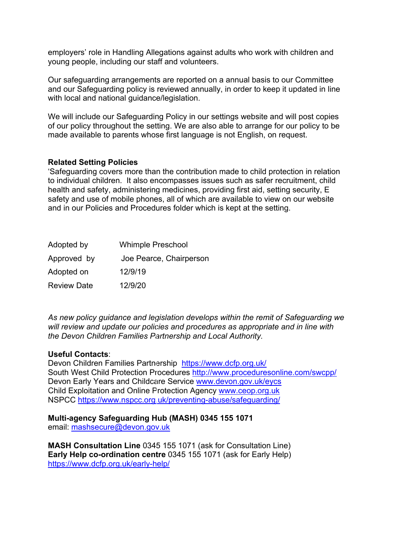employers' role in Handling Allegations against adults who work with children and young people, including our staff and volunteers.

Our safeguarding arrangements are reported on a annual basis to our Committee and our Safeguarding policy is reviewed annually, in order to keep it updated in line with local and national quidance/legislation.

We will include our Safeguarding Policy in our settings website and will post copies of our policy throughout the setting. We are also able to arrange for our policy to be made available to parents whose first language is not English, on request.

#### **Related Setting Policies**

'Safeguarding covers more than the contribution made to child protection in relation to individual children. It also encompasses issues such as safer recruitment, child health and safety, administering medicines, providing first aid, setting security, E safety and use of mobile phones, all of which are available to view on our website and in our Policies and Procedures folder which is kept at the setting.

| Adopted by         | <b>Whimple Preschool</b> |
|--------------------|--------------------------|
| Approved by        | Joe Pearce, Chairperson  |
| Adopted on         | 12/9/19                  |
| <b>Review Date</b> | 12/9/20                  |

*As new policy guidance and legislation develops within the remit of Safeguarding we will review and update our policies and procedures as appropriate and in line with the Devon Children Families Partnership and Local Authority.*

#### **Useful Contacts**:

Devon Children Families Partnership https://www.dcfp.org.uk/ South West Child Protection Procedures http://www.proceduresonline.com/swcpp/ Devon Early Years and Childcare Service www.devon.gov.uk/eycs Child Exploitation and Online Protection Agency www.ceop.org.uk NSPCC https://www.nspcc.org.uk/preventing-abuse/safeguarding/

#### **Multi-agency Safeguarding Hub (MASH) 0345 155 1071**

email: mashsecure@devon.gov.uk

**MASH Consultation Line** 0345 155 1071 (ask for Consultation Line) **Early Help co-ordination centre** 0345 155 1071 (ask for Early Help) https://www.dcfp.org.uk/early-help/